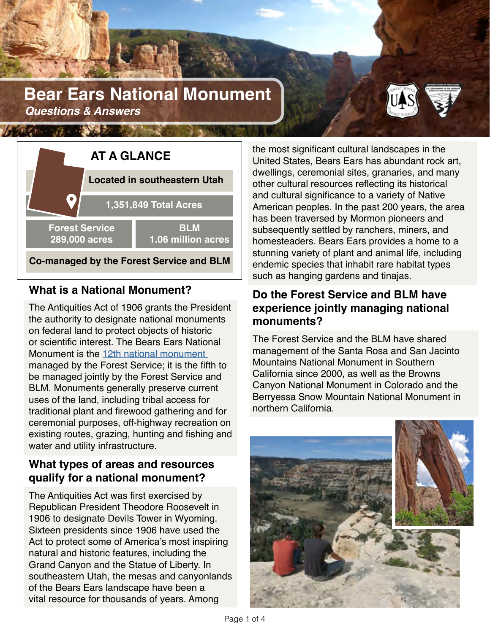# **Bear Ears National Monument**  *Questions & Answers*





## **What is a National Monument?**

The Antiquities Act of 1906 grants the President the authority to designate national monuments on federal land to protect objects of historic or scientific interest. The Bears Ears National Monument is the [12th national monument](https://www.fs.fed.us/visit/destinations?Category=166)  managed by the Forest Service; it is the fifth to be managed jointly by the Forest Service and BLM. Monuments generally preserve current uses of the land, including tribal access for traditional plant and firewood gathering and for ceremonial purposes, off-highway recreation on existing routes, grazing, hunting and fishing and water and utility infrastructure.

## **What types of areas and resources qualify for a national monument?**

The Antiquities Act was first exercised by Republican President Theodore Roosevelt in 1906 to designate Devils Tower in Wyoming. Sixteen presidents since 1906 have used the Act to protect some of America's most inspiring natural and historic features, including the Grand Canyon and the Statue of Liberty. In southeastern Utah, the mesas and canyonlands of the Bears Ears landscape have been a vital resource for thousands of years. Among

the most significant cultural landscapes in the United States, Bears Ears has abundant rock art, dwellings, ceremonial sites, granaries, and many other cultural resources reflecting its historical and cultural significance to a variety of Native American peoples. In the past 200 years, the area has been traversed by Mormon pioneers and subsequently settled by ranchers, miners, and homesteaders. Bears Ears provides a home to a stunning variety of plant and animal life, including endemic species that inhabit rare habitat types such as hanging gardens and tinajas.

## **Do the Forest Service and BLM have experience jointly managing national monuments?**

The Forest Service and the BLM have shared management of the Santa Rosa and San Jacinto Mountains National Monument in Southern California since 2000, as well as the Browns Canyon National Monument in Colorado and the Berryessa Snow Mountain National Monument in northern California.

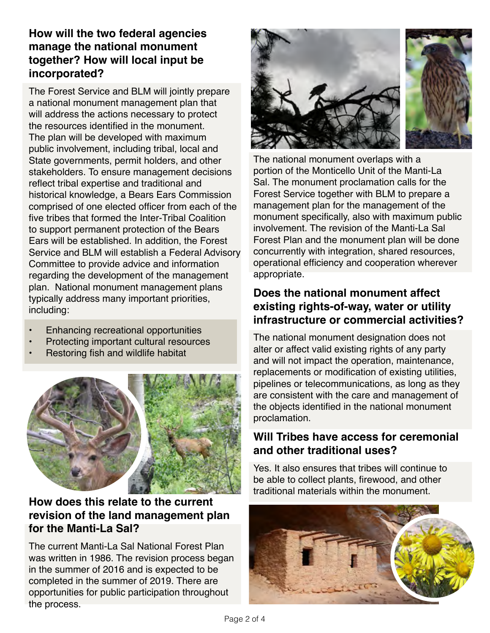## **How will the two federal agencies manage the national monument together? How will local input be incorporated?**

The Forest Service and BLM will jointly prepare a national monument management plan that will address the actions necessary to protect the resources identified in the monument. The plan will be developed with maximum public involvement, including tribal, local and State governments, permit holders, and other stakeholders. To ensure management decisions reflect tribal expertise and traditional and historical knowledge, a Bears Ears Commission comprised of one elected officer from each of the five tribes that formed the Inter-Tribal Coalition to support permanent protection of the Bears Ears will be established. In addition, the Forest Service and BLM will establish a Federal Advisory Committee to provide advice and information regarding the development of the management plan. National monument management plans typically address many important priorities, including:

- Enhancing recreational opportunities
- Protecting important cultural resources
- Restoring fish and wildlife habitat



#### **How does this relate to the current revision of the land management plan for the Manti-La Sal?**

The current Manti-La Sal National Forest Plan was written in 1986. The revision process began in the summer of 2016 and is expected to be completed in the summer of 2019. There are opportunities for public participation throughout the process.



The national monument overlaps with a portion of the Monticello Unit of the Manti-La Sal. The monument proclamation calls for the Forest Service together with BLM to prepare a management plan for the management of the monument specifically, also with maximum public involvement. The revision of the Manti-La Sal Forest Plan and the monument plan will be done concurrently with integration, shared resources, operational efficiency and cooperation wherever appropriate.

## **Does the national monument affect existing rights-of-way, water or utility infrastructure or commercial activities?**

The national monument designation does not alter or affect valid existing rights of any party and will not impact the operation, maintenance, replacements or modification of existing utilities, pipelines or telecommunications, as long as they are consistent with the care and management of the objects identified in the national monument proclamation.

### **Will Tribes have access for ceremonial and other traditional uses?**

Yes. It also ensures that tribes will continue to be able to collect plants, firewood, and other traditional materials within the monument.

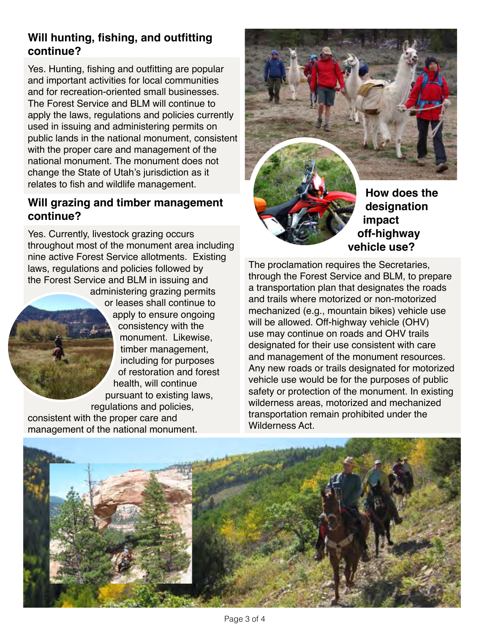## **Will hunting, fishing, and outfitting continue?**

Yes. Hunting, fishing and outfitting are popular and important activities for local communities and for recreation-oriented small businesses. The Forest Service and BLM will continue to apply the laws, regulations and policies currently used in issuing and administering permits on public lands in the national monument, consistent with the proper care and management of the national monument. The monument does not change the State of Utah's jurisdiction as it relates to fish and wildlife management.

#### **Will grazing and timber management continue?**

Yes. Currently, livestock grazing occurs throughout most of the monument area including nine active Forest Service allotments. Existing laws, regulations and policies followed by the Forest Service and BLM in issuing and administering grazing permits or leases shall continue to apply to ensure ongoing consistency with the monument. Likewise, timber management, including for purposes of restoration and forest health, will continue pursuant to existing laws, regulations and policies, consistent with the proper care and

management of the national monument.

**How does the designation impact off-highway vehicle use?** 

The proclamation requires the Secretaries, through the Forest Service and BLM, to prepare a transportation plan that designates the roads and trails where motorized or non-motorized mechanized (e.g., mountain bikes) vehicle use will be allowed. Off-highway vehicle (OHV) use may continue on roads and OHV trails designated for their use consistent with care and management of the monument resources. Any new roads or trails designated for motorized vehicle use would be for the purposes of public safety or protection of the monument. In existing wilderness areas, motorized and mechanized transportation remain prohibited under the Wilderness Act.